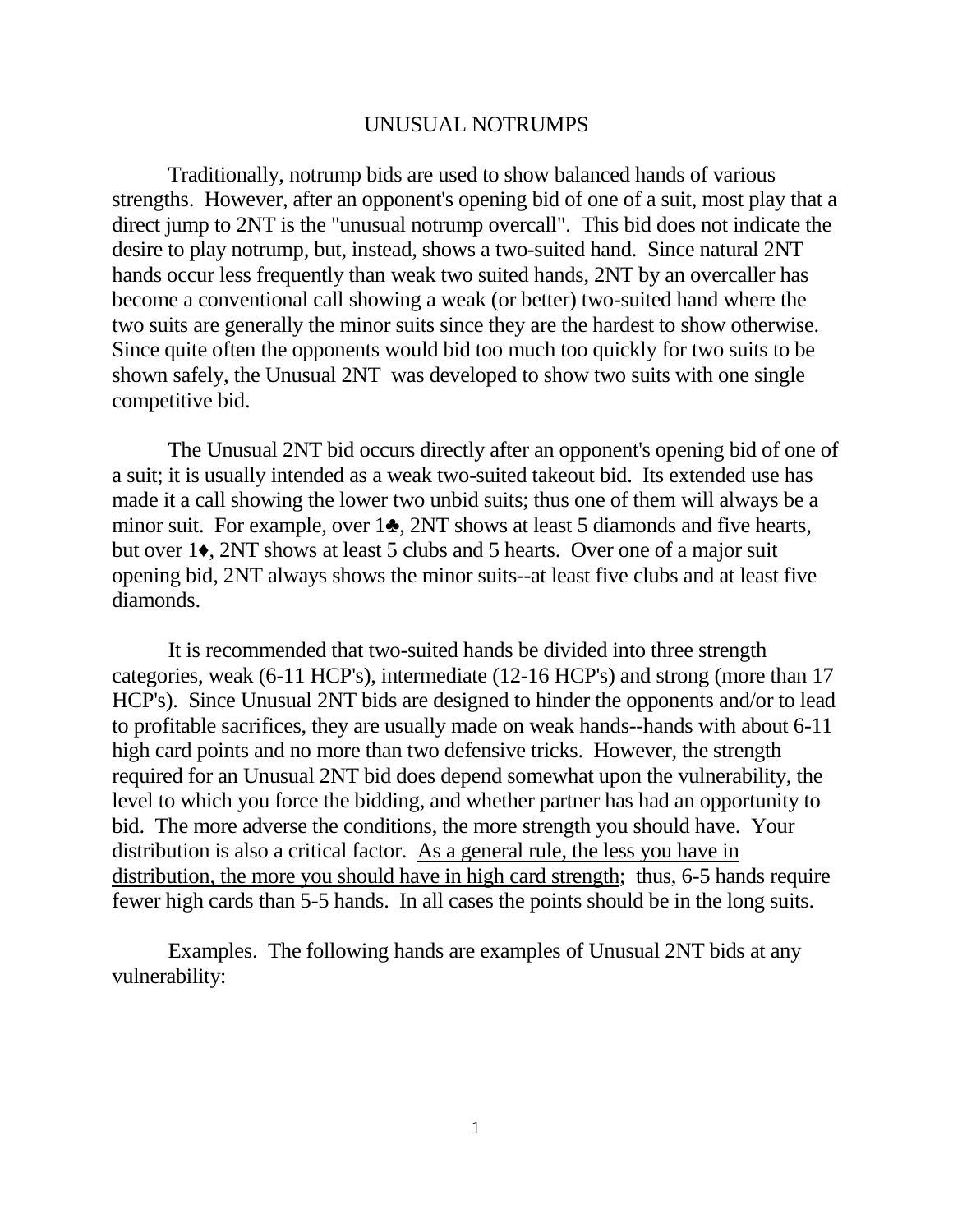## UNUSUAL NOTRUMPS

Traditionally, notrump bids are used to show balanced hands of various strengths. However, after an opponent's opening bid of one of a suit, most play that a direct jump to 2NT is the "unusual notrump overcall". This bid does not indicate the desire to play notrump, but, instead, shows a two-suited hand. Since natural 2NT hands occur less frequently than weak two suited hands, 2NT by an overcaller has become a conventional call showing a weak (or better) two-suited hand where the two suits are generally the minor suits since they are the hardest to show otherwise. Since quite often the opponents would bid too much too quickly for two suits to be shown safely, the Unusual 2NT was developed to show two suits with one single competitive bid.

The Unusual 2NT bid occurs directly after an opponent's opening bid of one of a suit; it is usually intended as a weak two-suited takeout bid. Its extended use has made it a call showing the lower two unbid suits; thus one of them will always be a minor suit. For example, over 1♣, 2NT shows at least 5 diamonds and five hearts, but over 1♦, 2NT shows at least 5 clubs and 5 hearts. Over one of a major suit opening bid, 2NT always shows the minor suits--at least five clubs and at least five diamonds.

It is recommended that two-suited hands be divided into three strength categories, weak (6-11 HCP's), intermediate (12-16 HCP's) and strong (more than 17 HCP's). Since Unusual 2NT bids are designed to hinder the opponents and/or to lead to profitable sacrifices, they are usually made on weak hands--hands with about 6-11 high card points and no more than two defensive tricks. However, the strength required for an Unusual 2NT bid does depend somewhat upon the vulnerability, the level to which you force the bidding, and whether partner has had an opportunity to bid. The more adverse the conditions, the more strength you should have. Your distribution is also a critical factor. As a general rule, the less you have in distribution, the more you should have in high card strength; thus, 6-5 hands require fewer high cards than 5-5 hands. In all cases the points should be in the long suits.

Examples. The following hands are examples of Unusual 2NT bids at any vulnerability: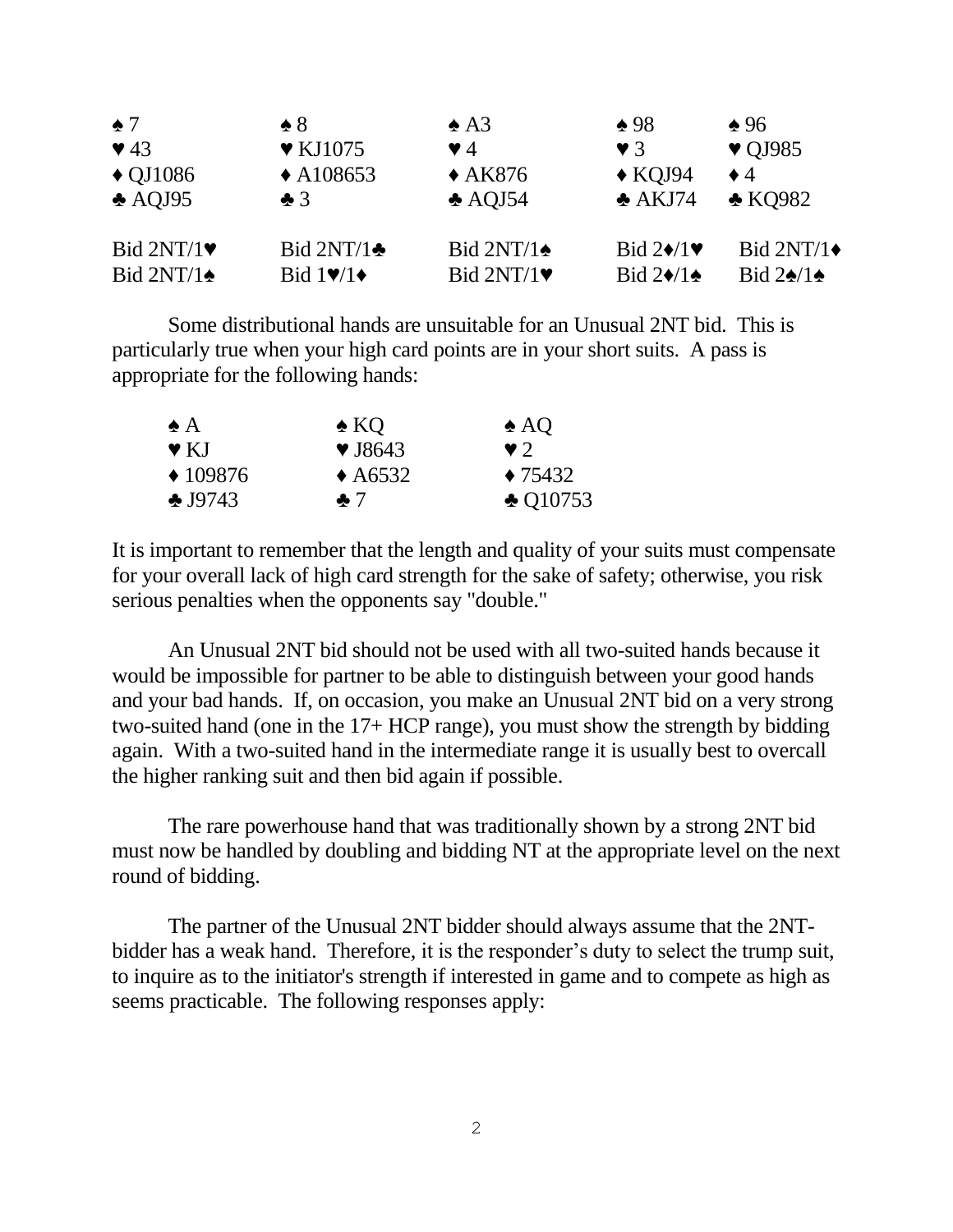| $\bullet$ 7             | $\triangle$ 8                             | $\triangle$ A3         | $\triangle$ 98                           | $\triangle$ 96                |
|-------------------------|-------------------------------------------|------------------------|------------------------------------------|-------------------------------|
| $\blacktriangledown$ 43 | $\blacktriangledown$ KJ1075               | $\blacktriangledown$ 4 | $\blacktriangledown$ 3                   | $\blacktriangledown$ QJ985    |
| $\triangle$ QJ1086      | $\triangle$ A108653                       | $\triangle$ AK876      | $\triangle$ KQJ94                        | $\bullet$ 4                   |
| $\triangle$ AQJ95       | $\clubsuit$ 3                             | $\triangle$ AQJ54      | $\triangle$ AKJ74                        | $\triangle$ KO982             |
| Bid $2NT/1$             | Bid $2NT/1$                               | Bid $2NT/1$            | Bid $2\blacklozenge/1\blacktriangledown$ | Bid 2NT/1+                    |
| Bid $2NT/1$             | Bid $1\blacktriangledown/1\blacktriangle$ | Bid $2NT/1$            | Bid $2\blacklozenge/1$                   | Bid $2\spadesuit/1\spadesuit$ |

Some distributional hands are unsuitable for an Unusual 2NT bid. This is particularly true when your high card points are in your short suits. A pass is appropriate for the following hands:

| $\triangle$ A     | $\triangle$ KQ             | $\triangle$ AQ     |
|-------------------|----------------------------|--------------------|
| $\vee$ KJ         | $\blacktriangledown$ J8643 | $\vee$ 2           |
| $*109876$         | $\triangle$ A6532          | $\triangle$ 75432  |
| $\clubsuit$ J9743 | $\clubsuit$ 7              | $\triangle$ Q10753 |

It is important to remember that the length and quality of your suits must compensate for your overall lack of high card strength for the sake of safety; otherwise, you risk serious penalties when the opponents say "double."

An Unusual 2NT bid should not be used with all two-suited hands because it would be impossible for partner to be able to distinguish between your good hands and your bad hands. If, on occasion, you make an Unusual 2NT bid on a very strong two-suited hand (one in the 17+ HCP range), you must show the strength by bidding again. With a two-suited hand in the intermediate range it is usually best to overcall the higher ranking suit and then bid again if possible.

The rare powerhouse hand that was traditionally shown by a strong 2NT bid must now be handled by doubling and bidding NT at the appropriate level on the next round of bidding.

The partner of the Unusual 2NT bidder should always assume that the 2NTbidder has a weak hand. Therefore, it is the responder's duty to select the trump suit, to inquire as to the initiator's strength if interested in game and to compete as high as seems practicable. The following responses apply: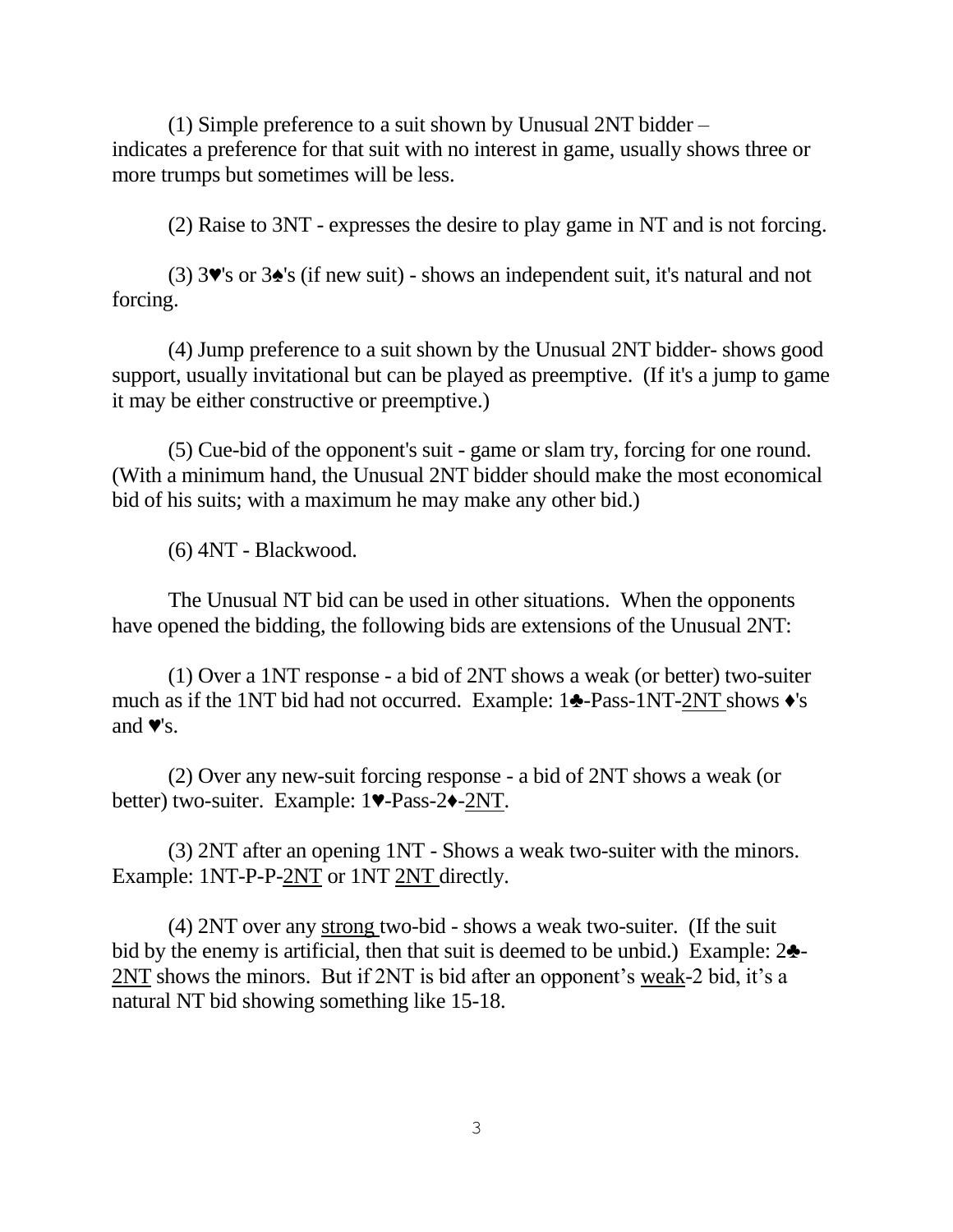(1) Simple preference to a suit shown by Unusual 2NT bidder – indicates a preference for that suit with no interest in game, usually shows three or more trumps but sometimes will be less.

(2) Raise to 3NT - expresses the desire to play game in NT and is not forcing.

(3) 3♥'s or 3♠'s (if new suit) - shows an independent suit, it's natural and not forcing.

(4) Jump preference to a suit shown by the Unusual 2NT bidder- shows good support, usually invitational but can be played as preemptive. (If it's a jump to game it may be either constructive or preemptive.)

(5) Cue-bid of the opponent's suit - game or slam try, forcing for one round. (With a minimum hand, the Unusual 2NT bidder should make the most economical bid of his suits; with a maximum he may make any other bid.)

(6) 4NT - Blackwood.

The Unusual NT bid can be used in other situations. When the opponents have opened the bidding, the following bids are extensions of the Unusual 2NT:

(1) Over a 1NT response - a bid of 2NT shows a weak (or better) two-suiter much as if the 1NT bid had not occurred. Example: 1♣-Pass-1NT-2NT shows ♦'s and  $\blacktriangledown$ 's.

(2) Over any new-suit forcing response - a bid of 2NT shows a weak (or better) two-suiter. Example: 1♥-Pass-2♦-2NT.

(3) 2NT after an opening 1NT - Shows a weak two-suiter with the minors. Example: 1NT-P-P-2NT or 1NT 2NT directly.

(4) 2NT over any strong two-bid - shows a weak two-suiter. (If the suit bid by the enemy is artificial, then that suit is deemed to be unbid.) Example: 2♣- 2NT shows the minors. But if 2NT is bid after an opponent's weak-2 bid, it's a natural NT bid showing something like 15-18.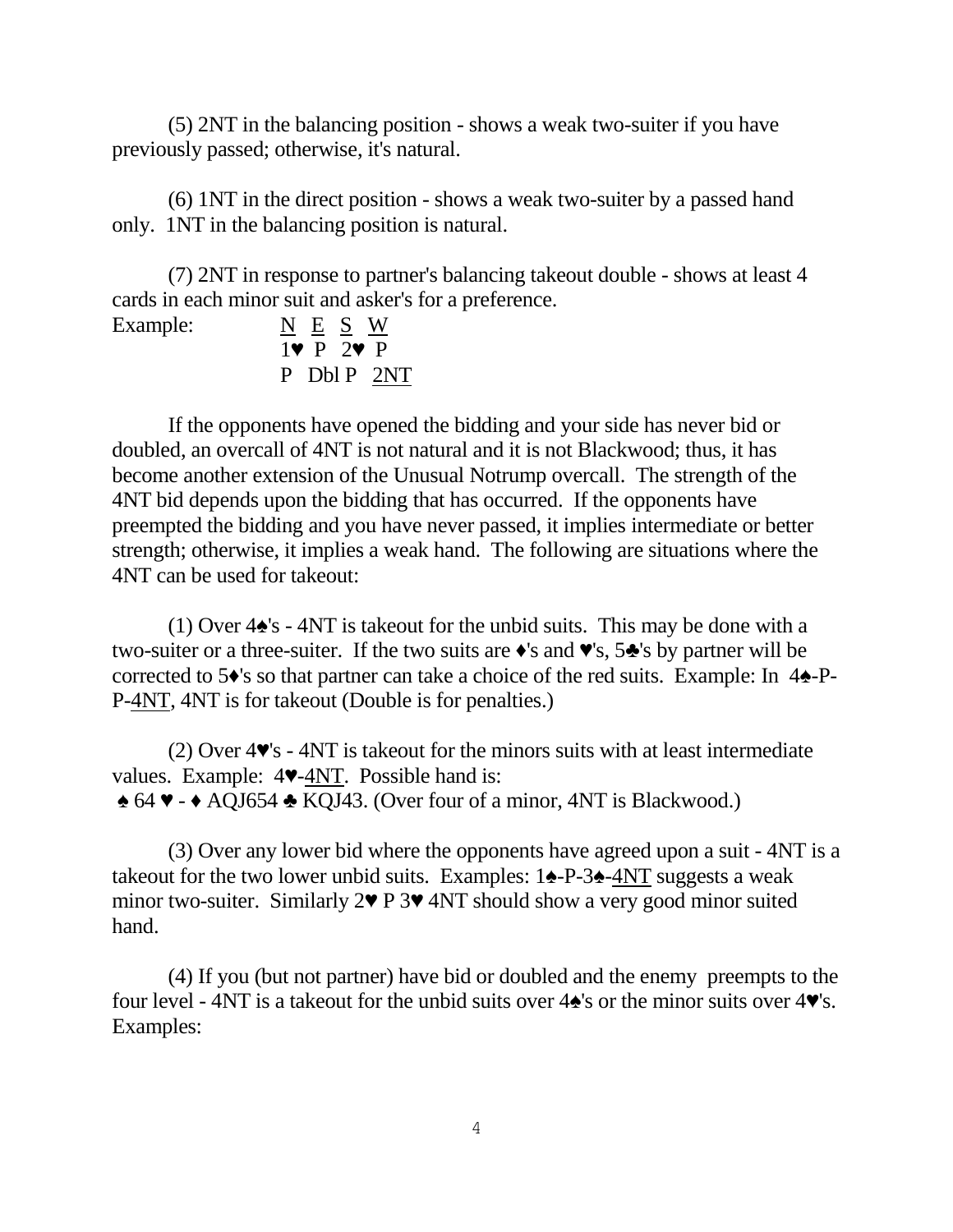(5) 2NT in the balancing position - shows a weak two-suiter if you have previously passed; otherwise, it's natural.

(6) 1NT in the direct position - shows a weak two-suiter by a passed hand only. 1NT in the balancing position is natural.

(7) 2NT in response to partner's balancing takeout double - shows at least 4 cards in each minor suit and asker's for a preference.

|  | NES '                 | W           |
|--|-----------------------|-------------|
|  | $1 \vee P$ 2 $\vee P$ |             |
|  |                       | P Dbl P 2NT |

Example:

If the opponents have opened the bidding and your side has never bid or doubled, an overcall of 4NT is not natural and it is not Blackwood; thus, it has become another extension of the Unusual Notrump overcall. The strength of the 4NT bid depends upon the bidding that has occurred. If the opponents have preempted the bidding and you have never passed, it implies intermediate or better strength; otherwise, it implies a weak hand. The following are situations where the 4NT can be used for takeout:

(1) Over 4♠'s - 4NT is takeout for the unbid suits. This may be done with a two-suiter or a three-suiter. If the two suits are ♦'s and ♥'s, 5♣'s by partner will be corrected to 5♦'s so that partner can take a choice of the red suits. Example: In 4♠-P-P-4NT, 4NT is for takeout (Double is for penalties.)

(2) Over 4♥'s - 4NT is takeout for the minors suits with at least intermediate values. Example: 4♥-4NT. Possible hand is: ♠ 64 ♥ - ♦ AQJ654 ♣ KQJ43. (Over four of a minor, 4NT is Blackwood.)

(3) Over any lower bid where the opponents have agreed upon a suit - 4NT is a takeout for the two lower unbid suits. Examples: 1♠-P-3♠-4NT suggests a weak minor two-suiter. Similarly 2♥ P 3♥ 4NT should show a very good minor suited hand.

(4) If you (but not partner) have bid or doubled and the enemy preempts to the four level - 4NT is a takeout for the unbid suits over 4♠'s or the minor suits over 4♥'s. Examples: